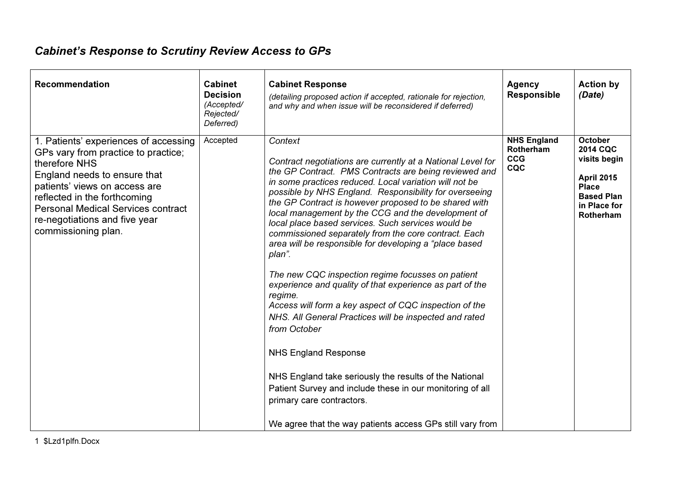## Cabinet's Response to Scrutiny Review Access to GPs

| <b>Recommendation</b>                                                                                                                                                                                                                                                                               | <b>Cabinet</b><br><b>Decision</b><br>(Accepted/<br>Rejected/<br>Deferred) | <b>Cabinet Response</b><br>(detailing proposed action if accepted, rationale for rejection,<br>and why and when issue will be reconsidered if deferred)                                                                                                                                                                                                                                                                                                                                                                                                                                                                                                                                                                                                                                                                                                                                                                                                                                                                                                              | <b>Agency</b><br><b>Responsible</b>                  | <b>Action by</b><br>(Date)                                                                                                                      |
|-----------------------------------------------------------------------------------------------------------------------------------------------------------------------------------------------------------------------------------------------------------------------------------------------------|---------------------------------------------------------------------------|----------------------------------------------------------------------------------------------------------------------------------------------------------------------------------------------------------------------------------------------------------------------------------------------------------------------------------------------------------------------------------------------------------------------------------------------------------------------------------------------------------------------------------------------------------------------------------------------------------------------------------------------------------------------------------------------------------------------------------------------------------------------------------------------------------------------------------------------------------------------------------------------------------------------------------------------------------------------------------------------------------------------------------------------------------------------|------------------------------------------------------|-------------------------------------------------------------------------------------------------------------------------------------------------|
| 1. Patients' experiences of accessing<br>GPs vary from practice to practice;<br>therefore NHS<br>England needs to ensure that<br>patients' views on access are<br>reflected in the forthcoming<br><b>Personal Medical Services contract</b><br>re-negotiations and five year<br>commissioning plan. | Accepted                                                                  | Context<br>Contract negotiations are currently at a National Level for<br>the GP Contract. PMS Contracts are being reviewed and<br>in some practices reduced. Local variation will not be<br>possible by NHS England. Responsibility for overseeing<br>the GP Contract is however proposed to be shared with<br>local management by the CCG and the development of<br>local place based services. Such services would be<br>commissioned separately from the core contract. Each<br>area will be responsible for developing a "place based<br>plan".<br>The new CQC inspection regime focusses on patient<br>experience and quality of that experience as part of the<br>regime.<br>Access will form a key aspect of CQC inspection of the<br>NHS. All General Practices will be inspected and rated<br>from October<br><b>NHS England Response</b><br>NHS England take seriously the results of the National<br>Patient Survey and include these in our monitoring of all<br>primary care contractors.<br>We agree that the way patients access GPs still vary from | <b>NHS England</b><br>Rotherham<br><b>CCG</b><br>CQC | <b>October</b><br><b>2014 CQC</b><br>visits begin<br><b>April 2015</b><br><b>Place</b><br><b>Based Plan</b><br>in Place for<br><b>Rotherham</b> |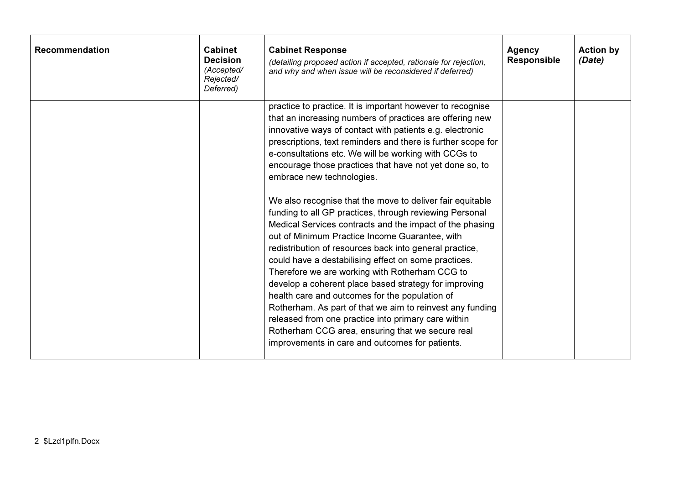| <b>Recommendation</b> | <b>Cabinet</b><br><b>Decision</b><br>(Accepted/<br>Rejected/<br>Deferred) | <b>Cabinet Response</b><br>(detailing proposed action if accepted, rationale for rejection,<br>and why and when issue will be reconsidered if deferred)                                                                                                                                                                                                                                                                                                                                                                                                                                                                                                                                                                                                                                                                                                                                                                                                                                                                                                                                                                                             | <b>Agency</b><br><b>Responsible</b> | <b>Action by</b><br>(Date) |
|-----------------------|---------------------------------------------------------------------------|-----------------------------------------------------------------------------------------------------------------------------------------------------------------------------------------------------------------------------------------------------------------------------------------------------------------------------------------------------------------------------------------------------------------------------------------------------------------------------------------------------------------------------------------------------------------------------------------------------------------------------------------------------------------------------------------------------------------------------------------------------------------------------------------------------------------------------------------------------------------------------------------------------------------------------------------------------------------------------------------------------------------------------------------------------------------------------------------------------------------------------------------------------|-------------------------------------|----------------------------|
|                       |                                                                           | practice to practice. It is important however to recognise<br>that an increasing numbers of practices are offering new<br>innovative ways of contact with patients e.g. electronic<br>prescriptions, text reminders and there is further scope for<br>e-consultations etc. We will be working with CCGs to<br>encourage those practices that have not yet done so, to<br>embrace new technologies.<br>We also recognise that the move to deliver fair equitable<br>funding to all GP practices, through reviewing Personal<br>Medical Services contracts and the impact of the phasing<br>out of Minimum Practice Income Guarantee, with<br>redistribution of resources back into general practice,<br>could have a destabilising effect on some practices.<br>Therefore we are working with Rotherham CCG to<br>develop a coherent place based strategy for improving<br>health care and outcomes for the population of<br>Rotherham. As part of that we aim to reinvest any funding<br>released from one practice into primary care within<br>Rotherham CCG area, ensuring that we secure real<br>improvements in care and outcomes for patients. |                                     |                            |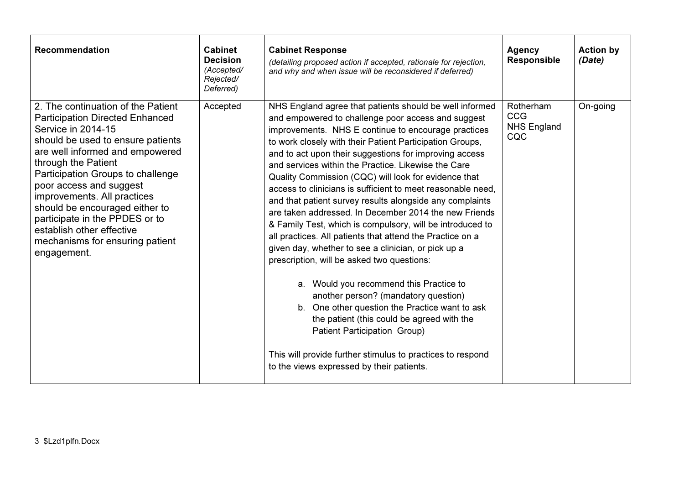| <b>Recommendation</b>                                                                                                                                                                                                                                                                                                                                                                                                                               | <b>Cabinet</b><br><b>Decision</b><br>(Accepted/<br>Rejected/<br>Deferred) | <b>Cabinet Response</b><br>(detailing proposed action if accepted, rationale for rejection,<br>and why and when issue will be reconsidered if deferred)                                                                                                                                                                                                                                                                                                                                                                                                                                                                                                                                                                                                                                                                                                                                                                                                                                                                                                                                                                                                    | Agency<br><b>Responsible</b>                         | <b>Action by</b><br>(Date) |
|-----------------------------------------------------------------------------------------------------------------------------------------------------------------------------------------------------------------------------------------------------------------------------------------------------------------------------------------------------------------------------------------------------------------------------------------------------|---------------------------------------------------------------------------|------------------------------------------------------------------------------------------------------------------------------------------------------------------------------------------------------------------------------------------------------------------------------------------------------------------------------------------------------------------------------------------------------------------------------------------------------------------------------------------------------------------------------------------------------------------------------------------------------------------------------------------------------------------------------------------------------------------------------------------------------------------------------------------------------------------------------------------------------------------------------------------------------------------------------------------------------------------------------------------------------------------------------------------------------------------------------------------------------------------------------------------------------------|------------------------------------------------------|----------------------------|
| 2. The continuation of the Patient<br><b>Participation Directed Enhanced</b><br>Service in 2014-15<br>should be used to ensure patients<br>are well informed and empowered<br>through the Patient<br>Participation Groups to challenge<br>poor access and suggest<br>improvements. All practices<br>should be encouraged either to<br>participate in the PPDES or to<br>establish other effective<br>mechanisms for ensuring patient<br>engagement. | Accepted                                                                  | NHS England agree that patients should be well informed<br>and empowered to challenge poor access and suggest<br>improvements. NHS E continue to encourage practices<br>to work closely with their Patient Participation Groups,<br>and to act upon their suggestions for improving access<br>and services within the Practice. Likewise the Care<br>Quality Commission (CQC) will look for evidence that<br>access to clinicians is sufficient to meet reasonable need,<br>and that patient survey results alongside any complaints<br>are taken addressed. In December 2014 the new Friends<br>& Family Test, which is compulsory, will be introduced to<br>all practices. All patients that attend the Practice on a<br>given day, whether to see a clinician, or pick up a<br>prescription, will be asked two questions:<br>a. Would you recommend this Practice to<br>another person? (mandatory question)<br>b. One other question the Practice want to ask<br>the patient (this could be agreed with the<br>Patient Participation Group)<br>This will provide further stimulus to practices to respond<br>to the views expressed by their patients. | Rotherham<br><b>CCG</b><br><b>NHS England</b><br>CQC | On-going                   |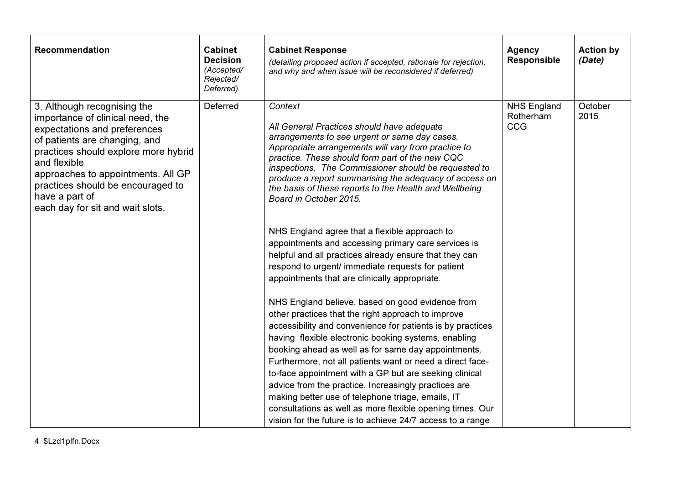| <b>Recommendation</b>                                                                                                                                                                                                                                                                                                     | <b>Cabinet</b><br><b>Decision</b><br>(Accepted/<br>Rejected/<br>Deferred) | <b>Cabinet Response</b><br>(detailing proposed action if accepted, rationale for rejection,<br>and why and when issue will be reconsidered if deferred)                                                                                                                                                                                                                                                                                                                                                                                                                                                                                                                                                                                                                                                                                                                                                                                                                                                                                                                                                                                                                                                                                                                                                                                              | <b>Agency</b><br><b>Responsible</b>    | <b>Action by</b><br>(Date) |
|---------------------------------------------------------------------------------------------------------------------------------------------------------------------------------------------------------------------------------------------------------------------------------------------------------------------------|---------------------------------------------------------------------------|------------------------------------------------------------------------------------------------------------------------------------------------------------------------------------------------------------------------------------------------------------------------------------------------------------------------------------------------------------------------------------------------------------------------------------------------------------------------------------------------------------------------------------------------------------------------------------------------------------------------------------------------------------------------------------------------------------------------------------------------------------------------------------------------------------------------------------------------------------------------------------------------------------------------------------------------------------------------------------------------------------------------------------------------------------------------------------------------------------------------------------------------------------------------------------------------------------------------------------------------------------------------------------------------------------------------------------------------------|----------------------------------------|----------------------------|
| 3. Although recognising the<br>importance of clinical need, the<br>expectations and preferences<br>of patients are changing, and<br>practices should explore more hybrid<br>and flexible<br>approaches to appointments. All GP<br>practices should be encouraged to<br>have a part of<br>each day for sit and wait slots. | <b>Deferred</b>                                                           | Context<br>All General Practices should have adequate<br>arrangements to see urgent or same day cases.<br>Appropriate arrangements will vary from practice to<br>practice. These should form part of the new CQC<br>inspections. The Commissioner should be requested to<br>produce a report summarising the adequacy of access on<br>the basis of these reports to the Health and Wellbeing<br>Board in October 2015.<br>NHS England agree that a flexible approach to<br>appointments and accessing primary care services is<br>helpful and all practices already ensure that they can<br>respond to urgent/ immediate requests for patient<br>appointments that are clinically appropriate.<br>NHS England believe, based on good evidence from<br>other practices that the right approach to improve<br>accessibility and convenience for patients is by practices<br>having flexible electronic booking systems, enabling<br>booking ahead as well as for same day appointments.<br>Furthermore, not all patients want or need a direct face-<br>to-face appointment with a GP but are seeking clinical<br>advice from the practice. Increasingly practices are<br>making better use of telephone triage, emails, IT<br>consultations as well as more flexible opening times. Our<br>vision for the future is to achieve 24/7 access to a range | <b>NHS England</b><br>Rotherham<br>CCG | October<br>2015            |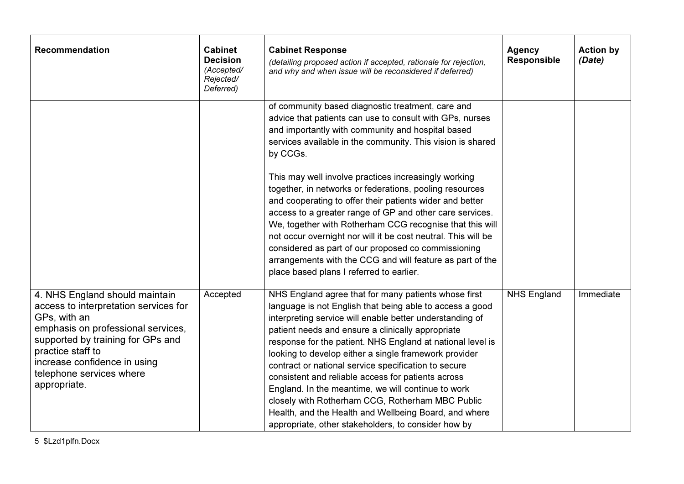| <b>Recommendation</b>                                                                                                                                                                                                                                               | <b>Cabinet</b><br><b>Decision</b><br>(Accepted/<br>Rejected/<br>Deferred) | <b>Cabinet Response</b><br>(detailing proposed action if accepted, rationale for rejection,<br>and why and when issue will be reconsidered if deferred)                                                                                                                                                                                                                                                                                                                                                                                                                                                                                                                                          | <b>Agency</b><br><b>Responsible</b> | <b>Action by</b><br>(Date) |
|---------------------------------------------------------------------------------------------------------------------------------------------------------------------------------------------------------------------------------------------------------------------|---------------------------------------------------------------------------|--------------------------------------------------------------------------------------------------------------------------------------------------------------------------------------------------------------------------------------------------------------------------------------------------------------------------------------------------------------------------------------------------------------------------------------------------------------------------------------------------------------------------------------------------------------------------------------------------------------------------------------------------------------------------------------------------|-------------------------------------|----------------------------|
|                                                                                                                                                                                                                                                                     |                                                                           | of community based diagnostic treatment, care and<br>advice that patients can use to consult with GPs, nurses<br>and importantly with community and hospital based<br>services available in the community. This vision is shared<br>by CCGs.                                                                                                                                                                                                                                                                                                                                                                                                                                                     |                                     |                            |
|                                                                                                                                                                                                                                                                     |                                                                           | This may well involve practices increasingly working<br>together, in networks or federations, pooling resources<br>and cooperating to offer their patients wider and better<br>access to a greater range of GP and other care services.<br>We, together with Rotherham CCG recognise that this will<br>not occur overnight nor will it be cost neutral. This will be<br>considered as part of our proposed co commissioning<br>arrangements with the CCG and will feature as part of the<br>place based plans I referred to earlier.                                                                                                                                                             |                                     |                            |
| 4. NHS England should maintain<br>access to interpretation services for<br>GPs, with an<br>emphasis on professional services,<br>supported by training for GPs and<br>practice staff to<br>increase confidence in using<br>telephone services where<br>appropriate. | Accepted                                                                  | NHS England agree that for many patients whose first<br>language is not English that being able to access a good<br>interpreting service will enable better understanding of<br>patient needs and ensure a clinically appropriate<br>response for the patient. NHS England at national level is<br>looking to develop either a single framework provider<br>contract or national service specification to secure<br>consistent and reliable access for patients across<br>England. In the meantime, we will continue to work<br>closely with Rotherham CCG, Rotherham MBC Public<br>Health, and the Health and Wellbeing Board, and where<br>appropriate, other stakeholders, to consider how by | <b>NHS England</b>                  | Immediate                  |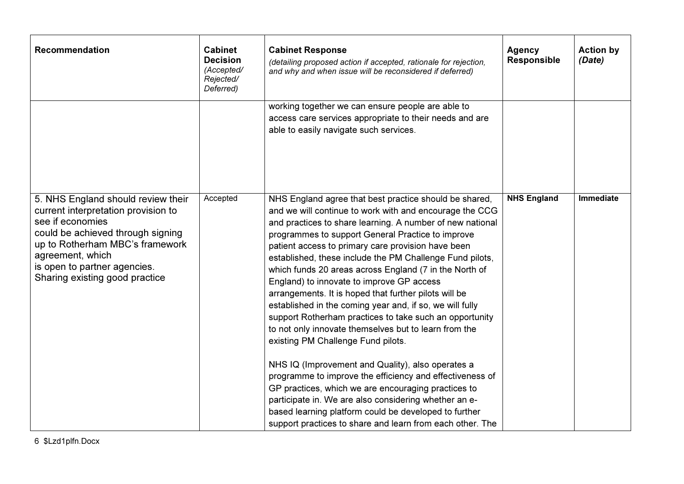| <b>Recommendation</b>                                                                                                                                                                                                                                       | <b>Cabinet</b><br><b>Decision</b><br>(Accepted/<br>Rejected/<br>Deferred) | <b>Cabinet Response</b><br>(detailing proposed action if accepted, rationale for rejection,<br>and why and when issue will be reconsidered if deferred)                                                                                                                                                                                                                                                                                                                                                                                                                                                                                                                                                                                                                                                                                                                                                                                                                                                                                                                                            | <b>Agency</b><br><b>Responsible</b> | <b>Action by</b><br>(Date) |
|-------------------------------------------------------------------------------------------------------------------------------------------------------------------------------------------------------------------------------------------------------------|---------------------------------------------------------------------------|----------------------------------------------------------------------------------------------------------------------------------------------------------------------------------------------------------------------------------------------------------------------------------------------------------------------------------------------------------------------------------------------------------------------------------------------------------------------------------------------------------------------------------------------------------------------------------------------------------------------------------------------------------------------------------------------------------------------------------------------------------------------------------------------------------------------------------------------------------------------------------------------------------------------------------------------------------------------------------------------------------------------------------------------------------------------------------------------------|-------------------------------------|----------------------------|
|                                                                                                                                                                                                                                                             |                                                                           | working together we can ensure people are able to<br>access care services appropriate to their needs and are<br>able to easily navigate such services.                                                                                                                                                                                                                                                                                                                                                                                                                                                                                                                                                                                                                                                                                                                                                                                                                                                                                                                                             |                                     |                            |
| 5. NHS England should review their<br>current interpretation provision to<br>see if economies<br>could be achieved through signing<br>up to Rotherham MBC's framework<br>agreement, which<br>is open to partner agencies.<br>Sharing existing good practice | Accepted                                                                  | NHS England agree that best practice should be shared,<br>and we will continue to work with and encourage the CCG<br>and practices to share learning. A number of new national<br>programmes to support General Practice to improve<br>patient access to primary care provision have been<br>established, these include the PM Challenge Fund pilots,<br>which funds 20 areas across England (7 in the North of<br>England) to innovate to improve GP access<br>arrangements. It is hoped that further pilots will be<br>established in the coming year and, if so, we will fully<br>support Rotherham practices to take such an opportunity<br>to not only innovate themselves but to learn from the<br>existing PM Challenge Fund pilots.<br>NHS IQ (Improvement and Quality), also operates a<br>programme to improve the efficiency and effectiveness of<br>GP practices, which we are encouraging practices to<br>participate in. We are also considering whether an e-<br>based learning platform could be developed to further<br>support practices to share and learn from each other. The | <b>NHS England</b>                  | <b>Immediate</b>           |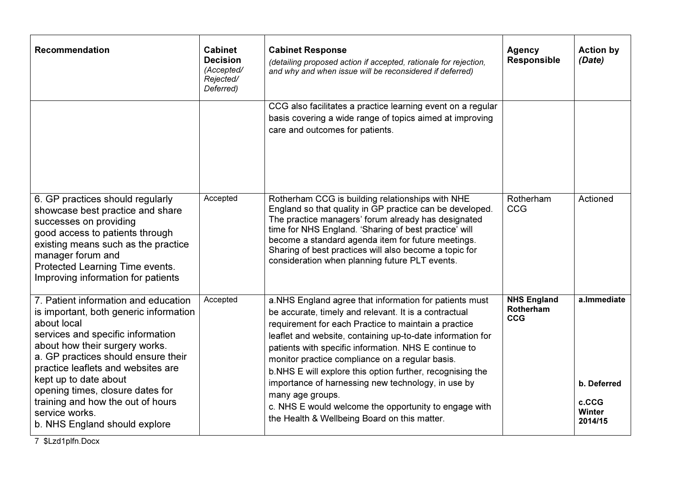| <b>Recommendation</b>                                                                                                                                                                                                                                                                                                                                                                                  | <b>Cabinet</b><br><b>Decision</b><br>(Accepted/<br>Rejected/<br>Deferred) | <b>Cabinet Response</b><br>(detailing proposed action if accepted, rationale for rejection,<br>and why and when issue will be reconsidered if deferred)                                                                                                                                                                                                                                                                                                                                                                                                                                             | <b>Agency</b><br><b>Responsible</b>                  | <b>Action by</b><br>(Date)                                      |
|--------------------------------------------------------------------------------------------------------------------------------------------------------------------------------------------------------------------------------------------------------------------------------------------------------------------------------------------------------------------------------------------------------|---------------------------------------------------------------------------|-----------------------------------------------------------------------------------------------------------------------------------------------------------------------------------------------------------------------------------------------------------------------------------------------------------------------------------------------------------------------------------------------------------------------------------------------------------------------------------------------------------------------------------------------------------------------------------------------------|------------------------------------------------------|-----------------------------------------------------------------|
|                                                                                                                                                                                                                                                                                                                                                                                                        |                                                                           | CCG also facilitates a practice learning event on a regular<br>basis covering a wide range of topics aimed at improving<br>care and outcomes for patients.                                                                                                                                                                                                                                                                                                                                                                                                                                          |                                                      |                                                                 |
| 6. GP practices should regularly<br>showcase best practice and share<br>successes on providing<br>good access to patients through<br>existing means such as the practice<br>manager forum and<br>Protected Learning Time events.<br>Improving information for patients                                                                                                                                 | Accepted                                                                  | Rotherham CCG is building relationships with NHE<br>England so that quality in GP practice can be developed.<br>The practice managers' forum already has designated<br>time for NHS England. 'Sharing of best practice' will<br>become a standard agenda item for future meetings.<br>Sharing of best practices will also become a topic for<br>consideration when planning future PLT events.                                                                                                                                                                                                      | Rotherham<br>CCG                                     | Actioned                                                        |
| 7. Patient information and education<br>is important, both generic information<br>about local<br>services and specific information<br>about how their surgery works.<br>a. GP practices should ensure their<br>practice leaflets and websites are<br>kept up to date about<br>opening times, closure dates for<br>training and how the out of hours<br>service works.<br>b. NHS England should explore | Accepted                                                                  | a. NHS England agree that information for patients must<br>be accurate, timely and relevant. It is a contractual<br>requirement for each Practice to maintain a practice<br>leaflet and website, containing up-to-date information for<br>patients with specific information. NHS E continue to<br>monitor practice compliance on a regular basis.<br>b. NHS E will explore this option further, recognising the<br>importance of harnessing new technology, in use by<br>many age groups.<br>c. NHS E would welcome the opportunity to engage with<br>the Health & Wellbeing Board on this matter. | <b>NHS England</b><br><b>Rotherham</b><br><b>CCG</b> | a.Immediate<br>b. Deferred<br>c.CCG<br><b>Winter</b><br>2014/15 |

7 \$Lzd1plfn.Docx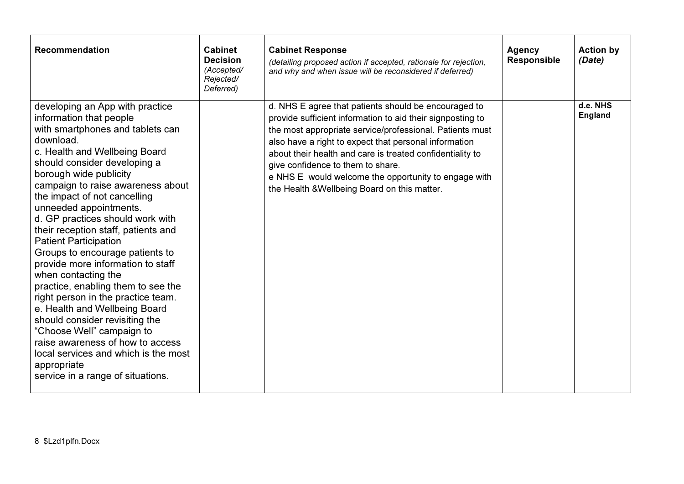| <b>Recommendation</b>                                                                                                                                                                                                                                                                                                                                                                                                                                                                                                                                                                                                                                                                                                                                                                                                       | <b>Cabinet</b><br><b>Decision</b><br>(Accepted/<br>Rejected/<br>Deferred) | <b>Cabinet Response</b><br>(detailing proposed action if accepted, rationale for rejection,<br>and why and when issue will be reconsidered if deferred)                                                                                                                                                                                                                                                                                           | <b>Agency</b><br><b>Responsible</b> | <b>Action by</b><br>(Date) |
|-----------------------------------------------------------------------------------------------------------------------------------------------------------------------------------------------------------------------------------------------------------------------------------------------------------------------------------------------------------------------------------------------------------------------------------------------------------------------------------------------------------------------------------------------------------------------------------------------------------------------------------------------------------------------------------------------------------------------------------------------------------------------------------------------------------------------------|---------------------------------------------------------------------------|---------------------------------------------------------------------------------------------------------------------------------------------------------------------------------------------------------------------------------------------------------------------------------------------------------------------------------------------------------------------------------------------------------------------------------------------------|-------------------------------------|----------------------------|
| developing an App with practice<br>information that people<br>with smartphones and tablets can<br>download.<br>c. Health and Wellbeing Board<br>should consider developing a<br>borough wide publicity<br>campaign to raise awareness about<br>the impact of not cancelling<br>unneeded appointments.<br>d. GP practices should work with<br>their reception staff, patients and<br><b>Patient Participation</b><br>Groups to encourage patients to<br>provide more information to staff<br>when contacting the<br>practice, enabling them to see the<br>right person in the practice team.<br>e. Health and Wellbeing Board<br>should consider revisiting the<br>"Choose Well" campaign to<br>raise awareness of how to access<br>local services and which is the most<br>appropriate<br>service in a range of situations. |                                                                           | d. NHS E agree that patients should be encouraged to<br>provide sufficient information to aid their signposting to<br>the most appropriate service/professional. Patients must<br>also have a right to expect that personal information<br>about their health and care is treated confidentiality to<br>give confidence to them to share.<br>e NHS E would welcome the opportunity to engage with<br>the Health & Wellbeing Board on this matter. |                                     | d.e. NHS<br><b>England</b> |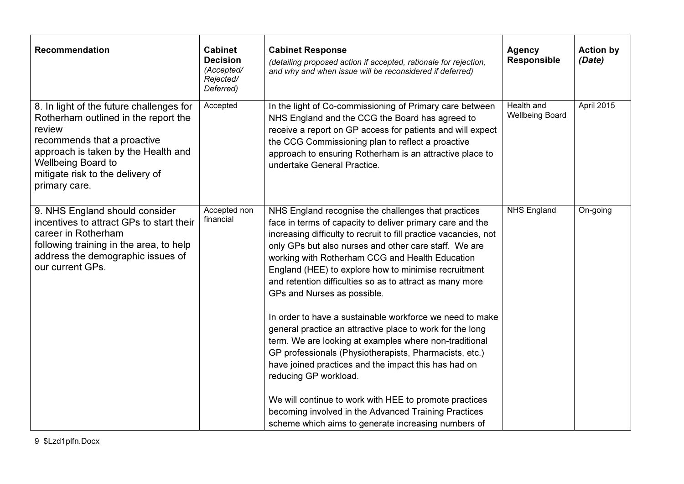| <b>Recommendation</b>                                                                                                                                                                                                                              | <b>Cabinet</b><br><b>Decision</b><br>(Accepted/<br>Rejected/<br>Deferred) | <b>Cabinet Response</b><br>(detailing proposed action if accepted, rationale for rejection,<br>and why and when issue will be reconsidered if deferred)                                                                                                                                                                                                                                                                                                                                                                                                                                                                                                                                                                                                                           | <b>Agency</b><br><b>Responsible</b>  | <b>Action by</b><br>(Date) |
|----------------------------------------------------------------------------------------------------------------------------------------------------------------------------------------------------------------------------------------------------|---------------------------------------------------------------------------|-----------------------------------------------------------------------------------------------------------------------------------------------------------------------------------------------------------------------------------------------------------------------------------------------------------------------------------------------------------------------------------------------------------------------------------------------------------------------------------------------------------------------------------------------------------------------------------------------------------------------------------------------------------------------------------------------------------------------------------------------------------------------------------|--------------------------------------|----------------------------|
| 8. In light of the future challenges for<br>Rotherham outlined in the report the<br>review<br>recommends that a proactive<br>approach is taken by the Health and<br><b>Wellbeing Board to</b><br>mitigate risk to the delivery of<br>primary care. | Accepted                                                                  | In the light of Co-commissioning of Primary care between<br>NHS England and the CCG the Board has agreed to<br>receive a report on GP access for patients and will expect<br>the CCG Commissioning plan to reflect a proactive<br>approach to ensuring Rotherham is an attractive place to<br>undertake General Practice.                                                                                                                                                                                                                                                                                                                                                                                                                                                         | Health and<br><b>Wellbeing Board</b> | April 2015                 |
| 9. NHS England should consider<br>incentives to attract GPs to start their<br>career in Rotherham<br>following training in the area, to help<br>address the demographic issues of<br>our current GPs.                                              | Accepted non<br>financial                                                 | NHS England recognise the challenges that practices<br>face in terms of capacity to deliver primary care and the<br>increasing difficulty to recruit to fill practice vacancies, not<br>only GPs but also nurses and other care staff. We are<br>working with Rotherham CCG and Health Education<br>England (HEE) to explore how to minimise recruitment<br>and retention difficulties so as to attract as many more<br>GPs and Nurses as possible.<br>In order to have a sustainable workforce we need to make<br>general practice an attractive place to work for the long<br>term. We are looking at examples where non-traditional<br>GP professionals (Physiotherapists, Pharmacists, etc.)<br>have joined practices and the impact this has had on<br>reducing GP workload. | <b>NHS England</b>                   | On-going                   |
|                                                                                                                                                                                                                                                    |                                                                           | We will continue to work with HEE to promote practices<br>becoming involved in the Advanced Training Practices<br>scheme which aims to generate increasing numbers of                                                                                                                                                                                                                                                                                                                                                                                                                                                                                                                                                                                                             |                                      |                            |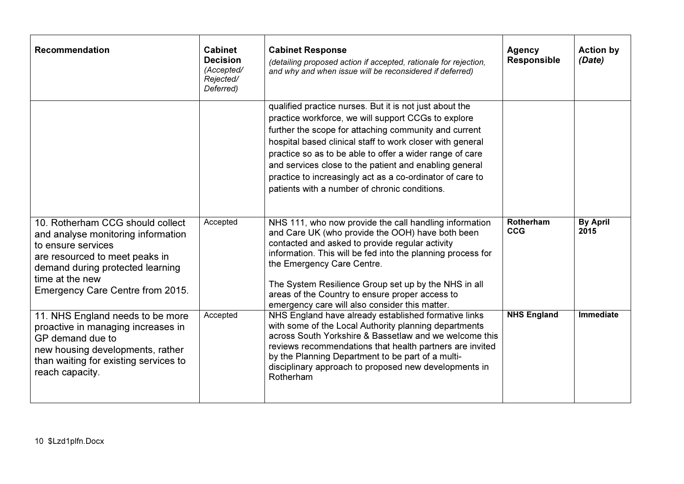| <b>Recommendation</b>                                                                                                                                                                                                     | <b>Cabinet</b><br><b>Decision</b><br>(Accepted/<br>Rejected/<br>Deferred) | <b>Cabinet Response</b><br>(detailing proposed action if accepted, rationale for rejection,<br>and why and when issue will be reconsidered if deferred)                                                                                                                                                                                                                                                                                                                  | <b>Agency</b><br><b>Responsible</b> | <b>Action by</b><br>(Date) |
|---------------------------------------------------------------------------------------------------------------------------------------------------------------------------------------------------------------------------|---------------------------------------------------------------------------|--------------------------------------------------------------------------------------------------------------------------------------------------------------------------------------------------------------------------------------------------------------------------------------------------------------------------------------------------------------------------------------------------------------------------------------------------------------------------|-------------------------------------|----------------------------|
|                                                                                                                                                                                                                           |                                                                           | qualified practice nurses. But it is not just about the<br>practice workforce, we will support CCGs to explore<br>further the scope for attaching community and current<br>hospital based clinical staff to work closer with general<br>practice so as to be able to offer a wider range of care<br>and services close to the patient and enabling general<br>practice to increasingly act as a co-ordinator of care to<br>patients with a number of chronic conditions. |                                     |                            |
| 10. Rotherham CCG should collect<br>and analyse monitoring information<br>to ensure services<br>are resourced to meet peaks in<br>demand during protected learning<br>time at the new<br>Emergency Care Centre from 2015. | Accepted                                                                  | NHS 111, who now provide the call handling information<br>and Care UK (who provide the OOH) have both been<br>contacted and asked to provide regular activity<br>information. This will be fed into the planning process for<br>the Emergency Care Centre.<br>The System Resilience Group set up by the NHS in all<br>areas of the Country to ensure proper access to<br>emergency care will also consider this matter.                                                  | Rotherham<br><b>CCG</b>             | <b>By April</b><br>2015    |
| 11. NHS England needs to be more<br>proactive in managing increases in<br>GP demand due to<br>new housing developments, rather<br>than waiting for existing services to<br>reach capacity.                                | Accepted                                                                  | NHS England have already established formative links<br>with some of the Local Authority planning departments<br>across South Yorkshire & Bassetlaw and we welcome this<br>reviews recommendations that health partners are invited<br>by the Planning Department to be part of a multi-<br>disciplinary approach to proposed new developments in<br>Rotherham                                                                                                           | <b>NHS England</b>                  | <b>Immediate</b>           |